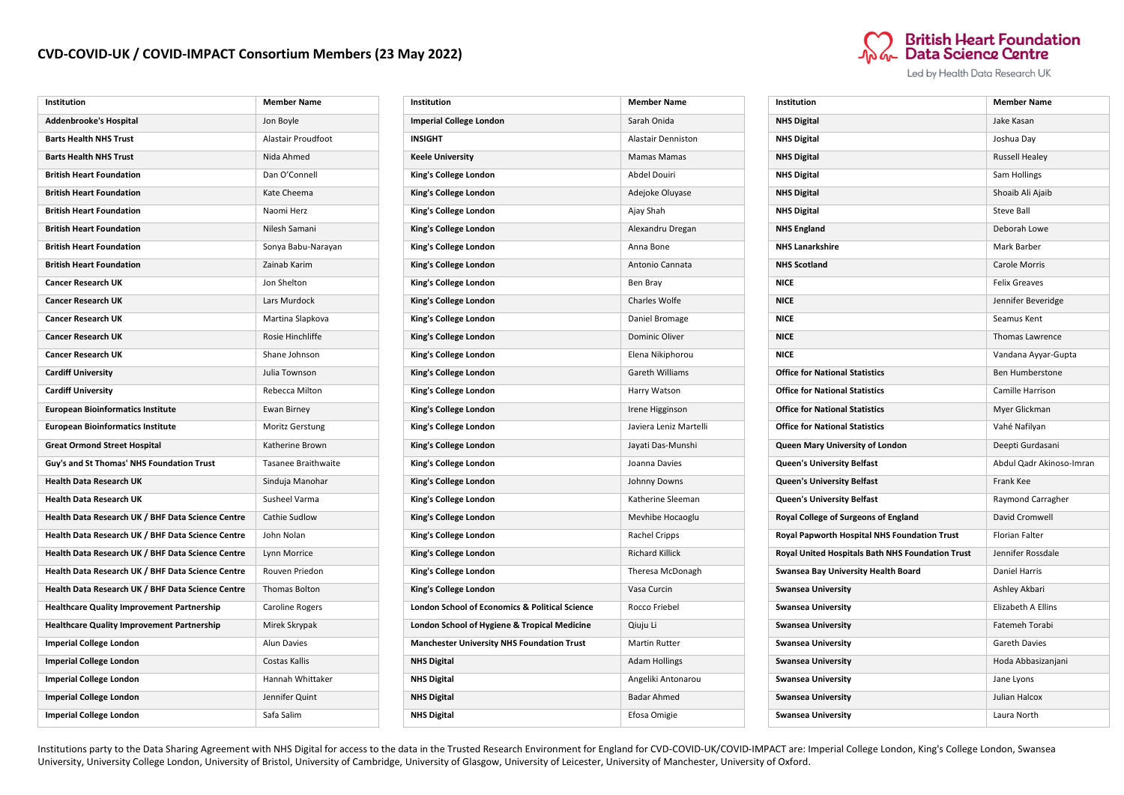## **CVD-COVID-UK / COVID-IMPACT Consortium Members (23 May 2022)**



| Institution                                       | <b>Member Name</b>        |
|---------------------------------------------------|---------------------------|
| <b>Imperial College London</b>                    | Sarah Onida               |
| <b>INSIGHT</b>                                    | <b>Alastair Denniston</b> |
| <b>Keele University</b>                           | Mamas Mamas               |
| King's College London                             | Abdel Douiri              |
| King's College London                             | Adejoke Oluyase           |
| King's College London                             | Ajay Shah                 |
| King's College London                             | Alexandru Dregan          |
| King's College London                             | Anna Bone                 |
| King's College London                             | Antonio Cannata           |
| King's College London                             | Ben Bray                  |
| King's College London                             | Charles Wolfe             |
| King's College London                             | Daniel Bromage            |
| King's College London                             | Dominic Oliver            |
| King's College London                             | Elena Nikiphorou          |
| King's College London                             | Gareth Williams           |
| King's College London                             | Harry Watson              |
| King's College London                             | Irene Higginson           |
| King's College London                             | Javiera Leniz Martelli    |
| King's College London                             | Jayati Das-Munshi         |
| King's College London                             | Joanna Davies             |
| King's College London                             | Johnny Downs              |
| King's College London                             | Katherine Sleeman         |
| King's College London                             | Mevhibe Hocaoglu          |
| King's College London                             | Rachel Cripps             |
| King's College London                             | <b>Richard Killick</b>    |
| King's College London                             | Theresa McDonagh          |
| King's College London                             | Vasa Curcin               |
| London School of Economics & Political Science    | Rocco Friebel             |
| London School of Hygiene & Tropical Medicine      | Qiuju Li                  |
| <b>Manchester University NHS Foundation Trust</b> | Martin Rutter             |
| <b>NHS Digital</b>                                | <b>Adam Hollings</b>      |
| <b>NHS Digital</b>                                | Angeliki Antonarou        |
| <b>NHS Digital</b>                                | <b>Badar Ahmed</b>        |
| <b>NHS Digital</b>                                | Efosa Omigie              |



Led by Health Data Research UK

| Institution                                      | <b>Member Name</b>       |
|--------------------------------------------------|--------------------------|
| <b>NHS Digital</b>                               | Jake Kasan               |
| <b>NHS Digital</b>                               | Joshua Day               |
| <b>NHS Digital</b>                               | <b>Russell Healey</b>    |
| <b>NHS Digital</b>                               | Sam Hollings             |
| <b>NHS Digital</b>                               | Shoaib Ali Ajaib         |
| <b>NHS Digital</b>                               | <b>Steve Ball</b>        |
| <b>NHS England</b>                               | Deborah Lowe             |
| <b>NHS Lanarkshire</b>                           | Mark Barber              |
| <b>NHS Scotland</b>                              | <b>Carole Morris</b>     |
| <b>NICE</b>                                      | <b>Felix Greaves</b>     |
| <b>NICE</b>                                      | Jennifer Beveridge       |
| <b>NICE</b>                                      | Seamus Kent              |
| <b>NICE</b>                                      | <b>Thomas Lawrence</b>   |
| <b>NICE</b>                                      | Vandana Ayyar-Gupta      |
| <b>Office for National Statistics</b>            | <b>Ben Humberstone</b>   |
| <b>Office for National Statistics</b>            | Camille Harrison         |
| <b>Office for National Statistics</b>            | Myer Glickman            |
| <b>Office for National Statistics</b>            | Vahé Nafilyan            |
| Queen Mary University of London                  | Deepti Gurdasani         |
| Queen's University Belfast                       | Abdul Qadr Akinoso-Imran |
| <b>Queen's University Belfast</b>                | Frank Kee                |
| Queen's University Belfast                       | Raymond Carragher        |
| Royal College of Surgeons of England             | David Cromwell           |
| Royal Papworth Hospital NHS Foundation Trust     | <b>Florian Falter</b>    |
| Royal United Hospitals Bath NHS Foundation Trust | Jennifer Rossdale        |
| Swansea Bay University Health Board              | <b>Daniel Harris</b>     |
| <b>Swansea University</b>                        | Ashley Akbari            |
| <b>Swansea University</b>                        | Elizabeth A Ellins       |
| <b>Swansea University</b>                        | Fatemeh Torabi           |
| <b>Swansea University</b>                        | <b>Gareth Davies</b>     |
| <b>Swansea University</b>                        | Hoda Abbasizanjani       |
| <b>Swansea University</b>                        | Jane Lyons               |
| <b>Swansea University</b>                        | Julian Halcox            |
| <b>Swansea University</b>                        | Laura North              |

Institutions party to the Data Sharing Agreement with NHS Digital for access to the data in the Trusted Research Environment for England for CVD-COVID-UK/COVID-IMPACT are: Imperial College London, King's College London, Sw University, University College London, University of Bristol, University of Cambridge, University of Glasgow, University of Leicester, University of Manchester, University of Oxford.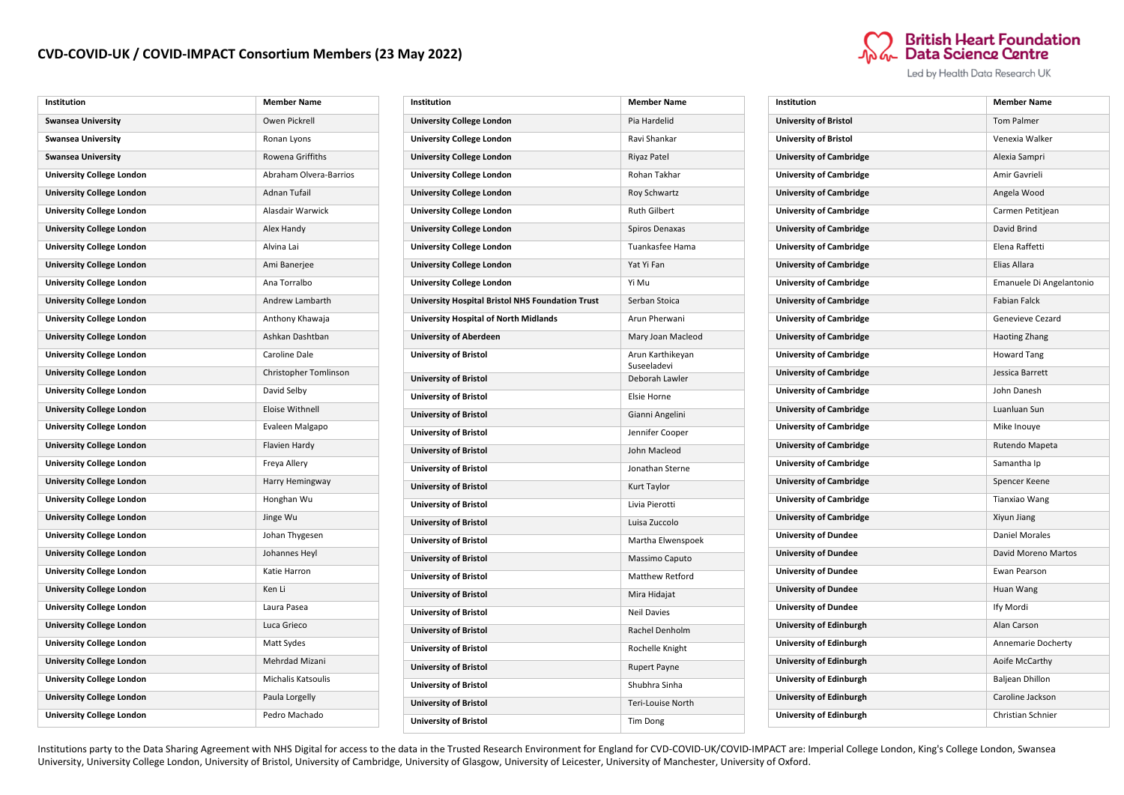## **CVD-COVID-UK / COVID-IMPACT Consortium Members (23 May 2022)**



Led by Health Data Research UK

| Institution                      | <b>Member Name</b>        |
|----------------------------------|---------------------------|
| <b>Swansea University</b>        | Owen Pickrell             |
| <b>Swansea University</b>        | Ronan Lyons               |
| <b>Swansea University</b>        | Rowena Griffiths          |
| <b>University College London</b> | Abraham Olvera-Barrios    |
| <b>University College London</b> | <b>Adnan Tufail</b>       |
| <b>University College London</b> | Alasdair Warwick          |
| <b>University College London</b> | Alex Handy                |
| <b>University College London</b> | Alvina Lai                |
| <b>University College London</b> | Ami Banerjee              |
| <b>University College London</b> | Ana Torralbo              |
| <b>University College London</b> | Andrew Lambarth           |
| <b>University College London</b> | Anthony Khawaja           |
| <b>University College London</b> | Ashkan Dashtban           |
| <b>University College London</b> | Caroline Dale             |
| <b>University College London</b> | Christopher Tomlinson     |
| <b>University College London</b> | David Selby               |
| <b>University College London</b> | Eloise Withnell           |
| <b>University College London</b> | Evaleen Malgapo           |
| <b>University College London</b> | Flavien Hardy             |
| <b>University College London</b> | Freya Allery              |
| <b>University College London</b> | Harry Hemingway           |
| <b>University College London</b> | Honghan Wu                |
| <b>University College London</b> | Jinge Wu                  |
| <b>University College London</b> | Johan Thygesen            |
| <b>University College London</b> | Johannes Heyl             |
| <b>University College London</b> | Katie Harron              |
| <b>University College London</b> | Ken Li                    |
| <b>University College London</b> | Laura Pasea               |
| <b>University College London</b> | Luca Grieco               |
| <b>University College London</b> | Matt Sydes                |
| <b>University College London</b> | Mehrdad Mizani            |
| <b>University College London</b> | <b>Michalis Katsoulis</b> |
| <b>University College London</b> | Paula Lorgelly            |
| <b>University College London</b> | Pedro Machado             |

| Institution                                      | <b>Member Name</b>            |
|--------------------------------------------------|-------------------------------|
| <b>University College London</b>                 | Pia Hardelid                  |
| <b>University College London</b>                 | Ravi Shankar                  |
| <b>University College London</b>                 | Riyaz Patel                   |
| <b>University College London</b>                 | Rohan Takhar                  |
| <b>University College London</b>                 | <b>Roy Schwartz</b>           |
| <b>University College London</b>                 | <b>Ruth Gilbert</b>           |
| <b>University College London</b>                 | Spiros Denaxas                |
| <b>University College London</b>                 | Tuankasfee Hama               |
| <b>University College London</b>                 | Yat Yi Fan                    |
| <b>University College London</b>                 | Yi Mu                         |
| University Hospital Bristol NHS Foundation Trust | Serban Stoica                 |
| <b>University Hospital of North Midlands</b>     | Arun Pherwani                 |
| <b>University of Aberdeen</b>                    | Mary Joan Macleod             |
| <b>University of Bristol</b>                     | Arun Karthikeyan              |
| <b>University of Bristol</b>                     | Suseeladevi<br>Deborah Lawler |
| <b>University of Bristol</b>                     | Elsie Horne                   |
| <b>University of Bristol</b>                     | Gianni Angelini               |
| <b>University of Bristol</b>                     | Jennifer Cooper               |
| <b>University of Bristol</b>                     | John Macleod                  |
| <b>University of Bristol</b>                     | Jonathan Sterne               |
| <b>University of Bristol</b>                     | Kurt Taylor                   |
| <b>University of Bristol</b>                     | Livia Pierotti                |
| <b>University of Bristol</b>                     | Luisa Zuccolo                 |
| <b>University of Bristol</b>                     | Martha Elwenspoek             |
| <b>University of Bristol</b>                     | Massimo Caputo                |
| <b>University of Bristol</b>                     | <b>Matthew Retford</b>        |
| <b>University of Bristol</b>                     | Mira Hidajat                  |
| <b>University of Bristol</b>                     | <b>Neil Davies</b>            |
| <b>University of Bristol</b>                     | Rachel Denholm                |
| <b>University of Bristol</b>                     | Rochelle Knight               |
| <b>University of Bristol</b>                     | <b>Rupert Payne</b>           |
| <b>University of Bristol</b>                     | Shubhra Sinha                 |
| <b>University of Bristol</b>                     | Teri-Louise North             |
| <b>University of Bristol</b>                     | <b>Tim Dong</b>               |

| Institution                    | <b>Member Name</b>       |
|--------------------------------|--------------------------|
| <b>University of Bristol</b>   | <b>Tom Palmer</b>        |
| <b>University of Bristol</b>   | Venexia Walker           |
| <b>University of Cambridge</b> | Alexia Sampri            |
| <b>University of Cambridge</b> | Amir Gavrieli            |
| <b>University of Cambridge</b> | Angela Wood              |
| <b>University of Cambridge</b> | Carmen Petitjean         |
| <b>University of Cambridge</b> | David Brind              |
| <b>University of Cambridge</b> | Elena Raffetti           |
| <b>University of Cambridge</b> | Elias Allara             |
| <b>University of Cambridge</b> | Emanuele Di Angelantonio |
| <b>University of Cambridge</b> | <b>Fabian Falck</b>      |
| <b>University of Cambridge</b> | Genevieve Cezard         |
| <b>University of Cambridge</b> | <b>Haoting Zhang</b>     |
| <b>University of Cambridge</b> | <b>Howard Tang</b>       |
| <b>University of Cambridge</b> | Jessica Barrett          |
| <b>University of Cambridge</b> | John Danesh              |
| <b>University of Cambridge</b> | Luanluan Sun             |
| <b>University of Cambridge</b> | Mike Inouye              |
| <b>University of Cambridge</b> | Rutendo Mapeta           |
| <b>University of Cambridge</b> | Samantha Ip              |
| <b>University of Cambridge</b> | Spencer Keene            |
| <b>University of Cambridge</b> | <b>Tianxiao Wang</b>     |
| <b>University of Cambridge</b> | Xiyun Jiang              |
| <b>University of Dundee</b>    | <b>Daniel Morales</b>    |
| <b>University of Dundee</b>    | David Moreno Martos      |
| <b>University of Dundee</b>    | Ewan Pearson             |
| <b>University of Dundee</b>    | Huan Wang                |
| <b>University of Dundee</b>    | Ify Mordi                |
| University of Edinburgh        | Alan Carson              |
| University of Edinburgh        | Annemarie Docherty       |
| University of Edinburgh        | Aoife McCarthy           |
| <b>University of Edinburgh</b> | <b>Baljean Dhillon</b>   |
| University of Edinburgh        | Caroline Jackson         |
| <b>University of Edinburgh</b> | Christian Schnier        |

Institutions party to the Data Sharing Agreement with NHS Digital for access to the data in the Trusted Research Environment for England for CVD-COVID-UK/COVID-IMPACT are: Imperial College London, King's College London, Sw University, University College London, University of Bristol, University of Cambridge, University of Glasgow, University of Leicester, University of Manchester, University of Oxford.